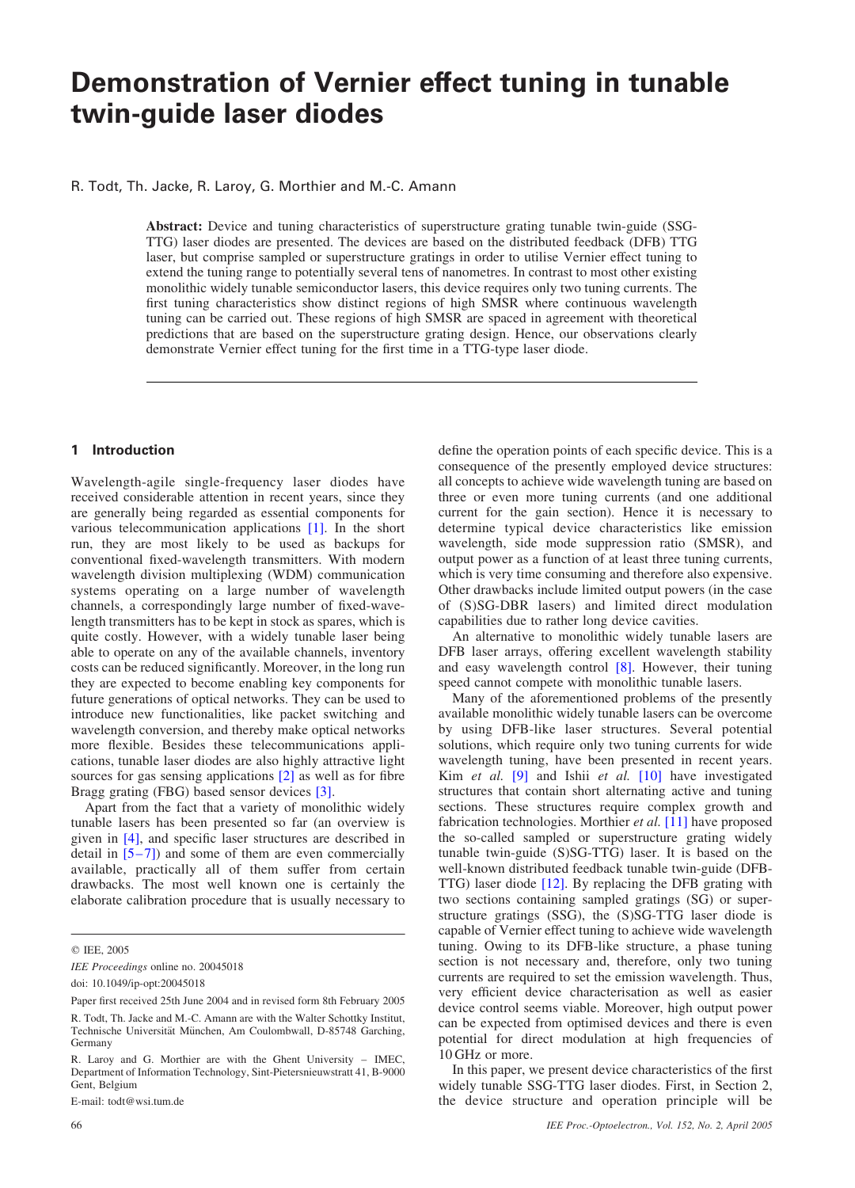# Demonstration of Vernier effect tuning in tunable twin-guide laser diodes

R. Todt, Th. Jacke, R. Laroy, G. Morthier and M.-C. Amann

Abstract: Device and tuning characteristics of superstructure grating tunable twin-guide (SSG-TTG) laser diodes are presented. The devices are based on the distributed feedback (DFB) TTG laser, but comprise sampled or superstructure gratings in order to utilise Vernier effect tuning to extend the tuning range to potentially several tens of nanometres. In contrast to most other existing monolithic widely tunable semiconductor lasers, this device requires only two tuning currents. The first tuning characteristics show distinct regions of high SMSR where continuous wavelength tuning can be carried out. These regions of high SMSR are spaced in agreement with theoretical predictions that are based on the superstructure grating design. Hence, our observations clearly demonstrate Vernier effect tuning for the first time in a TTG-type laser diode.

## 1 Introduction

Wavelength-agile single-frequency laser diodes have received considerable attention in recent years, since they are generally being regarded as essential components for various telecommunication applications [1]. In the short run, they are most likely to be used as backups for conventional fixed-wavelength transmitters. With modern wavelength division multiplexing (WDM) communication systems operating on a large number of wavelength channels, a correspondingly large number of fixed-wavelength transmitters has to be kept in stock as spares, which is quite costly. However, with a widely tunable laser being able to operate on any of the available channels, inventory costs can be reduced significantly. Moreover, in the long run they are expected to become enabling key components for future generations of optical networks. They can be used to introduce new functionalities, like packet switching and wavelength conversion, and thereby make optical networks more flexible. Besides these telecommunications applications, tunable laser diodes are also highly attractive light sources for gas sensing applications [2] as well as for fibre Bragg grating (FBG) based sensor devices [3].

Apart from the fact that a variety of monolithic widely tunable lasers has been presented so far (an overview is given in [4], and specific laser structures are described in detail in  $[5-7]$ ) and some of them are even commercially available, practically all of them suffer from certain drawbacks. The most well known one is certainly the elaborate calibration procedure that is usually necessary to

E-mail: todt@wsi.tum.de

define the operation points of each specific device. This is a consequence of the presently employed device structures: all concepts to achieve wide wavelength tuning are based on three or even more tuning currents (and one additional current for the gain section). Hence it is necessary to determine typical device characteristics like emission wavelength, side mode suppression ratio (SMSR), and output power as a function of at least three tuning currents, which is very time consuming and therefore also expensive. Other drawbacks include limited output powers (in the case of (S)SG-DBR lasers) and limited direct modulation capabilities due to rather long device cavities.

An alternative to monolithic widely tunable lasers are DFB laser arrays, offering excellent wavelength stability and easy wavelength control [8]. However, their tuning speed cannot compete with monolithic tunable lasers.

Many of the aforementioned problems of the presently available monolithic widely tunable lasers can be overcome by using DFB-like laser structures. Several potential solutions, which require only two tuning currents for wide wavelength tuning, have been presented in recent years. Kim et al. [9] and Ishii et al. [10] have investigated structures that contain short alternating active and tuning sections. These structures require complex growth and fabrication technologies. Morthier et al. [11] have proposed the so-called sampled or superstructure grating widely tunable twin-guide (S)SG-TTG) laser. It is based on the well-known distributed feedback tunable twin-guide (DFB-TTG) laser diode [12]. By replacing the DFB grating with two sections containing sampled gratings (SG) or superstructure gratings (SSG), the (S)SG-TTG laser diode is capable of Vernier effect tuning to achieve wide wavelength tuning. Owing to its DFB-like structure, a phase tuning section is not necessary and, therefore, only two tuning currents are required to set the emission wavelength. Thus, very efficient device characterisation as well as easier device control seems viable. Moreover, high output power can be expected from optimised devices and there is even potential for direct modulation at high frequencies of 10 GHz or more.

In this paper, we present device characteristics of the first widely tunable SSG-TTG laser diodes. First, in Section 2, the device structure and operation principle will be

q IEE, 2005

IEE Proceedings online no. 20045018

doi: 10.1049/ip-opt:20045018

Paper first received 25th June 2004 and in revised form 8th February 2005

R. Todt, Th. Jacke and M.-C. Amann are with the Walter Schottky Institut, Technische Universität München, Am Coulombwall, D-85748 Garching, Germany

R. Laroy and G. Morthier are with the Ghent University – IMEC, Department of Information Technology, Sint-Pietersnieuwstratt 41, B-9000 Gent, Belgium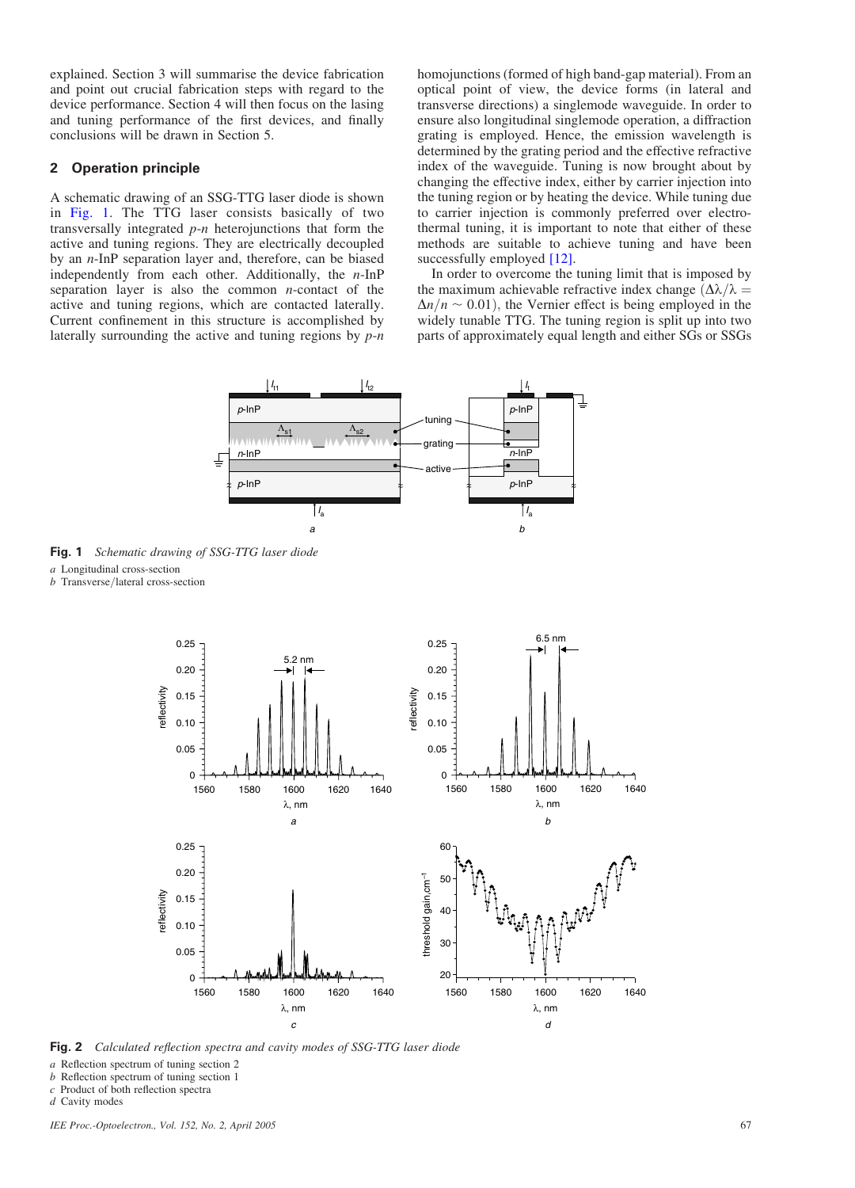explained. Section 3 will summarise the device fabrication and point out crucial fabrication steps with regard to the device performance. Section 4 will then focus on the lasing and tuning performance of the first devices, and finally conclusions will be drawn in Section 5.

# 2 Operation principle

A schematic drawing of an SSG-TTG laser diode is shown in Fig. 1. The TTG laser consists basically of two transversally integrated  $p$ -*n* heterojunctions that form the active and tuning regions. They are electrically decoupled by an n-InP separation layer and, therefore, can be biased independently from each other. Additionally, the  $n$ -InP separation layer is also the common  $n$ -contact of the active and tuning regions, which are contacted laterally. Current confinement in this structure is accomplished by laterally surrounding the active and tuning regions by  $p-n$ 

homojunctions (formed of high band-gap material). From an optical point of view, the device forms (in lateral and transverse directions) a singlemode waveguide. In order to ensure also longitudinal singlemode operation, a diffraction grating is employed. Hence, the emission wavelength is determined by the grating period and the effective refractive index of the waveguide. Tuning is now brought about by changing the effective index, either by carrier injection into the tuning region or by heating the device. While tuning due to carrier injection is commonly preferred over electrothermal tuning, it is important to note that either of these methods are suitable to achieve tuning and have been successfully employed [12].

In order to overcome the tuning limit that is imposed by the maximum achievable refractive index change  $(\Delta \lambda / \lambda =$  $\Delta n/n \sim 0.01$ , the Vernier effect is being employed in the widely tunable TTG. The tuning region is split up into two parts of approximately equal length and either SGs or SSGs



Fig. 1 Schematic drawing of SSG-TTG laser diode

a Longitudinal cross-section

 $b$  Transverse/lateral cross-section



Fig. 2 Calculated reflection spectra and cavity modes of SSG-TTG laser diode

a Reflection spectrum of tuning section 2

b Reflection spectrum of tuning section 1

c Product of both reflection spectra

d Cavity modes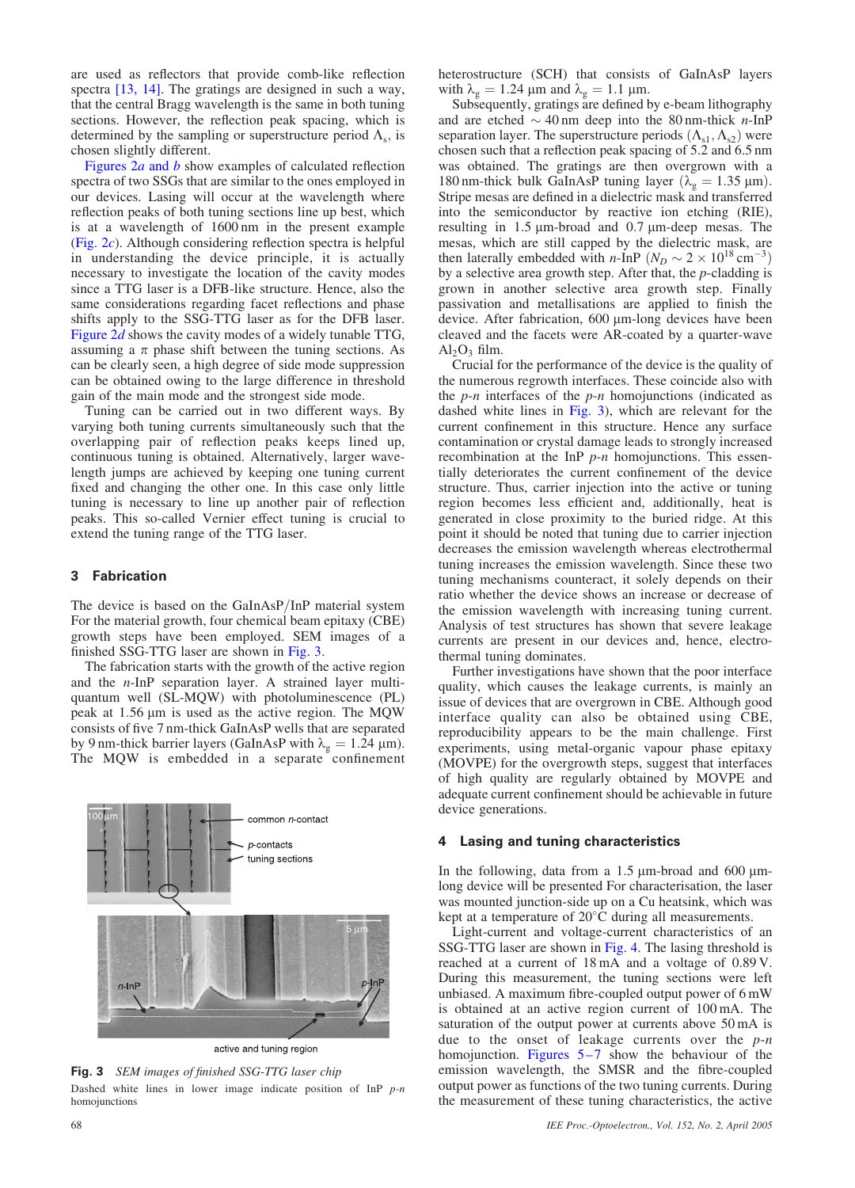are used as reflectors that provide comb-like reflection spectra [13, 14]. The gratings are designed in such a way, that the central Bragg wavelength is the same in both tuning sections. However, the reflection peak spacing, which is determined by the sampling or superstructure period  $\Lambda_s$ , is chosen slightly different.

Figures  $2a$  and b show examples of calculated reflection spectra of two SSGs that are similar to the ones employed in our devices. Lasing will occur at the wavelength where reflection peaks of both tuning sections line up best, which is at a wavelength of 1600 nm in the present example (Fig. 2c). Although considering reflection spectra is helpful in understanding the device principle, it is actually necessary to investigate the location of the cavity modes since a TTG laser is a DFB-like structure. Hence, also the same considerations regarding facet reflections and phase shifts apply to the SSG-TTG laser as for the DFB laser. Figure  $2d$  shows the cavity modes of a widely tunable TTG, assuming a  $\pi$  phase shift between the tuning sections. As can be clearly seen, a high degree of side mode suppression can be obtained owing to the large difference in threshold gain of the main mode and the strongest side mode.

Tuning can be carried out in two different ways. By varying both tuning currents simultaneously such that the overlapping pair of reflection peaks keeps lined up, continuous tuning is obtained. Alternatively, larger wavelength jumps are achieved by keeping one tuning current fixed and changing the other one. In this case only little tuning is necessary to line up another pair of reflection peaks. This so-called Vernier effect tuning is crucial to extend the tuning range of the TTG laser.

## 3 Fabrication

The device is based on the GaInAsP/InP material system For the material growth, four chemical beam epitaxy (CBE) growth steps have been employed. SEM images of a finished SSG-TTG laser are shown in Fig. 3.

The fabrication starts with the growth of the active region and the n-InP separation layer. A strained layer multiquantum well (SL-MQW) with photoluminescence (PL) peak at  $1.56 \mu m$  is used as the active region. The MQW consists of five 7 nm-thick GaInAsP wells that are separated by 9 nm-thick barrier layers (GaInAsP with  $\lambda_g = 1.24 \text{ }\mu\text{m}$ ). The MQW is embedded in a separate confinement



active and tuning region

Fig. 3 SEM images of finished SSG-TTG laser chip Dashed white lines in lower image indicate position of InP  $p$ -n homojunctions

heterostructure (SCH) that consists of GaInAsP layers with  $\lambda_g = 1.24 \,\mu\text{m}$  and  $\lambda_g = 1.1 \,\mu\text{m}$ .

Subsequently, gratings are defined by e-beam lithography and are etched  $\sim$  40 nm deep into the 80 nm-thick *n*-InP separation layer. The superstructure periods  $(\Lambda_{s1}, \Lambda_{s2})$  were chosen such that a reflection peak spacing of 5.2 and 6.5 nm was obtained. The gratings are then overgrown with a 180 nm-thick bulk GaInAsP tuning layer ( $\lambda_g = 1.35 \text{ }\mu\text{m}$ ). Stripe mesas are defined in a dielectric mask and transferred into the semiconductor by reactive ion etching (RIE), resulting in  $1.5 \mu$ m-broad and  $0.7 \mu$ m-deep mesas. The mesas, which are still capped by the dielectric mask, are then laterally embedded with *n*-InP ( $N_D \sim 2 \times 10^{18}$  cm<sup>-3</sup>) by a selective area growth step. After that, the  $p$ -cladding is grown in another selective area growth step. Finally passivation and metallisations are applied to finish the device. After fabrication, 600 µm-long devices have been cleaved and the facets were AR-coated by a quarter-wave  $Al_2O_3$  film.

Crucial for the performance of the device is the quality of the numerous regrowth interfaces. These coincide also with the  $p-n$  interfaces of the  $p-n$  homojunctions (indicated as dashed white lines in Fig. 3), which are relevant for the current confinement in this structure. Hence any surface contamination or crystal damage leads to strongly increased recombination at the InP  $p$ -n homojunctions. This essentially deteriorates the current confinement of the device structure. Thus, carrier injection into the active or tuning region becomes less efficient and, additionally, heat is generated in close proximity to the buried ridge. At this point it should be noted that tuning due to carrier injection decreases the emission wavelength whereas electrothermal tuning increases the emission wavelength. Since these two tuning mechanisms counteract, it solely depends on their ratio whether the device shows an increase or decrease of the emission wavelength with increasing tuning current. Analysis of test structures has shown that severe leakage currents are present in our devices and, hence, electrothermal tuning dominates.

Further investigations have shown that the poor interface quality, which causes the leakage currents, is mainly an issue of devices that are overgrown in CBE. Although good interface quality can also be obtained using CBE, reproducibility appears to be the main challenge. First experiments, using metal-organic vapour phase epitaxy (MOVPE) for the overgrowth steps, suggest that interfaces of high quality are regularly obtained by MOVPE and adequate current confinement should be achievable in future device generations.

### 4 Lasing and tuning characteristics

In the following, data from a  $1.5 \mu$ m-broad and 600  $\mu$ mlong device will be presented For characterisation, the laser was mounted junction-side up on a Cu heatsink, which was kept at a temperature of  $20^{\circ}$ C during all measurements.

Light-current and voltage-current characteristics of an SSG-TTG laser are shown in Fig. 4. The lasing threshold is reached at a current of 18 mA and a voltage of 0.89 V. During this measurement, the tuning sections were left unbiased. A maximum fibre-coupled output power of 6 mW is obtained at an active region current of 100 mA. The saturation of the output power at currents above 50 mA is due to the onset of leakage currents over the  $p-n$ homojunction. Figures 5–7 show the behaviour of the emission wavelength, the SMSR and the fibre-coupled output power as functions of the two tuning currents. During the measurement of these tuning characteristics, the active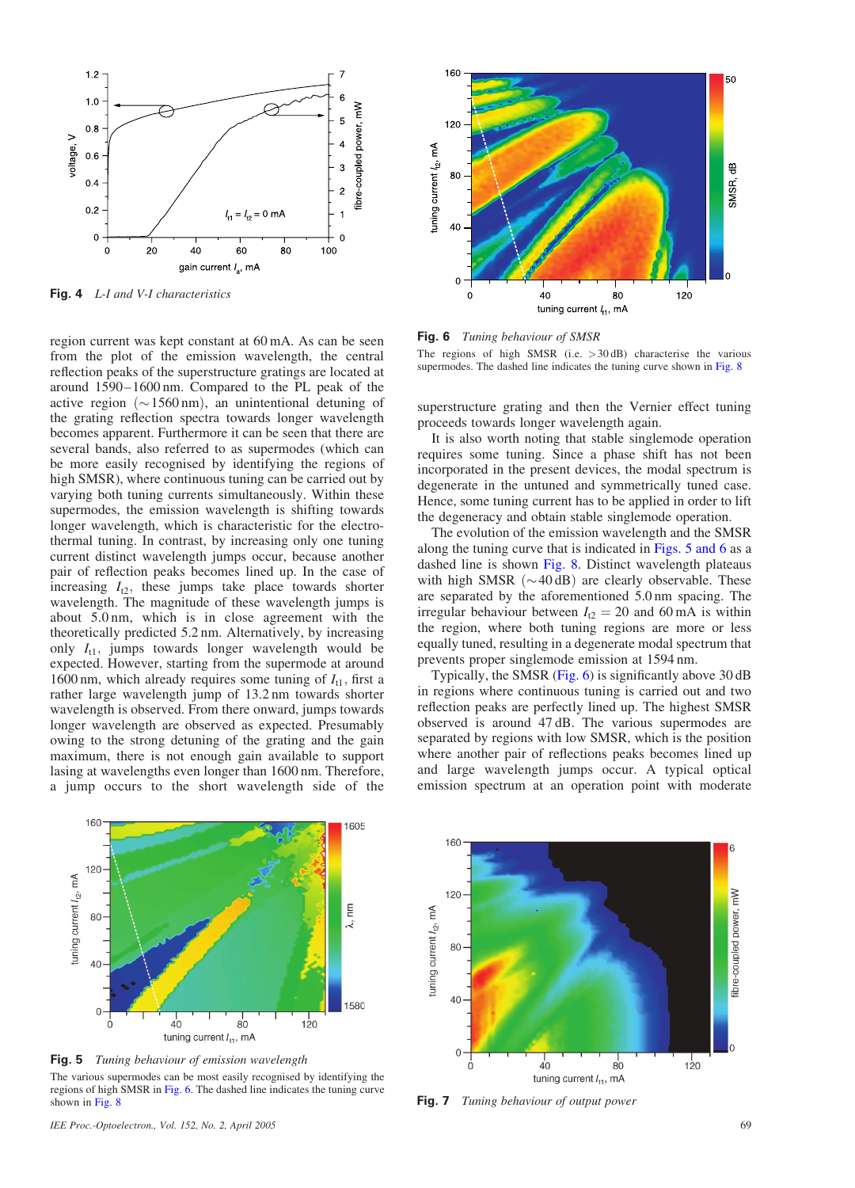

Fig. 4 L-I and V-I characteristics

region current was kept constant at 60 mA. As can be seen from the plot of the emission wavelength, the central reflection peaks of the superstructure gratings are located at around 1590–1600 nm. Compared to the PL peak of the active region ( $\sim$ 1560 nm), an unintentional detuning of the grating reflection spectra towards longer wavelength becomes apparent. Furthermore it can be seen that there are several bands, also referred to as supermodes (which can be more easily recognised by identifying the regions of high SMSR), where continuous tuning can be carried out by varying both tuning currents simultaneously. Within these supermodes, the emission wavelength is shifting towards longer wavelength, which is characteristic for the electrothermal tuning. In contrast, by increasing only one tuning current distinct wavelength jumps occur, because another pair of reflection peaks becomes lined up. In the case of increasing  $I_{12}$ , these jumps take place towards shorter wavelength. The magnitude of these wavelength jumps is about 5.0 nm, which is in close agreement with the theoretically predicted 5.2 nm. Alternatively, by increasing only  $I_{11}$ , jumps towards longer wavelength would be expected. However, starting from the supermode at around 1600 nm, which already requires some tuning of  $I_{t1}$ , first a rather large wavelength jump of 13.2 nm towards shorter wavelength is observed. From there onward, jumps towards longer wavelength are observed as expected. Presumably owing to the strong detuning of the grating and the gain maximum, there is not enough gain available to support lasing at wavelengths even longer than 1600 nm. Therefore, a jump occurs to the short wavelength side of the



Fig. 5 Tuning behaviour of emission wavelength The various supermodes can be most easily recognised by identifying the regions of high SMSR in Fig. 6. The dashed line indicates the tuning curve shown in Fig. 8



Fig. 6 Tuning behaviour of SMSR

The regions of high SMSR (i.e.  $>30$  dB) characterise the various supermodes. The dashed line indicates the tuning curve shown in Fig. 8

superstructure grating and then the Vernier effect tuning proceeds towards longer wavelength again.

It is also worth noting that stable singlemode operation requires some tuning. Since a phase shift has not been incorporated in the present devices, the modal spectrum is degenerate in the untuned and symmetrically tuned case. Hence, some tuning current has to be applied in order to lift the degeneracy and obtain stable singlemode operation.

The evolution of the emission wavelength and the SMSR along the tuning curve that is indicated in Figs. 5 and 6 as a dashed line is shown Fig. 8. Distinct wavelength plateaus with high SMSR  $({\sim}40 \text{ dB})$  are clearly observable. These are separated by the aforementioned 5.0 nm spacing. The irregular behaviour between  $I_{12} = 20$  and 60 mA is within the region, where both tuning regions are more or less equally tuned, resulting in a degenerate modal spectrum that prevents proper singlemode emission at 1594 nm.

Typically, the SMSR (Fig. 6) is significantly above 30 dB in regions where continuous tuning is carried out and two reflection peaks are perfectly lined up. The highest SMSR observed is around 47 dB. The various supermodes are separated by regions with low SMSR, which is the position where another pair of reflections peaks becomes lined up and large wavelength jumps occur. A typical optical emission spectrum at an operation point with moderate



Fig. 7 Tuning behaviour of output power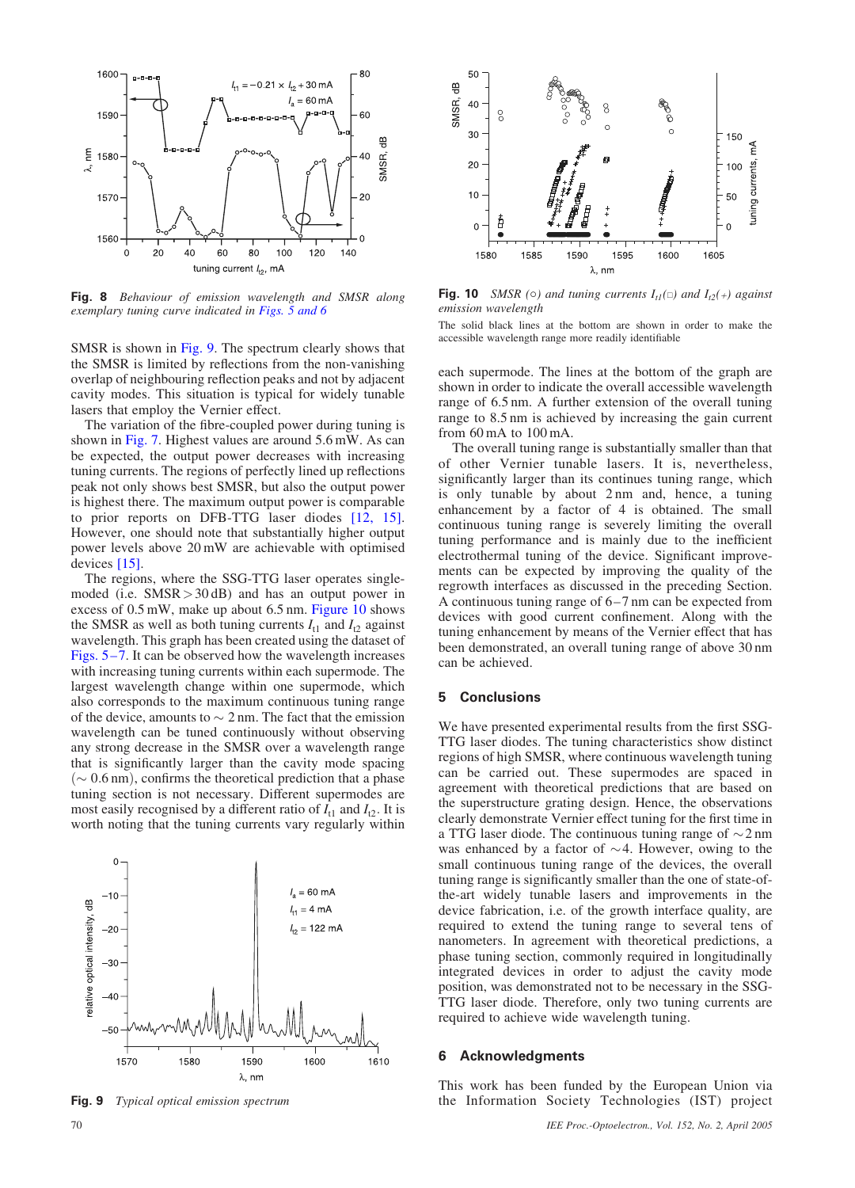

Fig. 8 Behaviour of emission wavelength and SMSR along exemplary tuning curve indicated in Figs. 5 and 6

SMSR is shown in Fig. 9. The spectrum clearly shows that the SMSR is limited by reflections from the non-vanishing overlap of neighbouring reflection peaks and not by adjacent cavity modes. This situation is typical for widely tunable lasers that employ the Vernier effect.

The variation of the fibre-coupled power during tuning is shown in Fig. 7. Highest values are around 5.6 mW. As can be expected, the output power decreases with increasing tuning currents. The regions of perfectly lined up reflections peak not only shows best SMSR, but also the output power is highest there. The maximum output power is comparable to prior reports on DFB-TTG laser diodes [12, 15]. However, one should note that substantially higher output power levels above 20 mW are achievable with optimised devices [15].

The regions, where the SSG-TTG laser operates singlemoded (i.e. SMSR>30 dB) and has an output power in excess of 0.5 mW, make up about 6.5 nm. Figure 10 shows the SMSR as well as both tuning currents  $I_{t1}$  and  $I_{t2}$  against wavelength. This graph has been created using the dataset of Figs. 5–7. It can be observed how the wavelength increases with increasing tuning currents within each supermode. The largest wavelength change within one supermode, which also corresponds to the maximum continuous tuning range of the device, amounts to  $\sim$  2 nm. The fact that the emission wavelength can be tuned continuously without observing any strong decrease in the SMSR over a wavelength range that is significantly larger than the cavity mode spacing  $(\sim 0.6 \text{ nm})$ , confirms the theoretical prediction that a phase tuning section is not necessary. Different supermodes are most easily recognised by a different ratio of  $I_{t1}$  and  $I_{t2}$ . It is worth noting that the tuning currents vary regularly within



Fig. 9 Typical optical emission spectrum



#### 5 Conclusions

We have presented experimental results from the first SSG-TTG laser diodes. The tuning characteristics show distinct regions of high SMSR, where continuous wavelength tuning can be carried out. These supermodes are spaced in agreement with theoretical predictions that are based on the superstructure grating design. Hence, the observations clearly demonstrate Vernier effect tuning for the first time in a TTG laser diode. The continuous tuning range of  $\sim$  2 nm was enhanced by a factor of  $\sim$  4. However, owing to the small continuous tuning range of the devices, the overall tuning range is significantly smaller than the one of state-ofthe-art widely tunable lasers and improvements in the device fabrication, i.e. of the growth interface quality, are required to extend the tuning range to several tens of nanometers. In agreement with theoretical predictions, a phase tuning section, commonly required in longitudinally integrated devices in order to adjust the cavity mode position, was demonstrated not to be necessary in the SSG-TTG laser diode. Therefore, only two tuning currents are required to achieve wide wavelength tuning.

### 6 Acknowledgments

This work has been funded by the European Union via the Information Society Technologies (IST) project



**Fig. 10** SMSR ( $\circ$ ) and tuning currents  $I_{t1}(\square)$  and  $I_{t2}(+)$  against emission wavelength

The solid black lines at the bottom are shown in order to make the accessible wavelength range more readily identifiable

each supermode. The lines at the bottom of the graph are shown in order to indicate the overall accessible wavelength range of 6.5 nm. A further extension of the overall tuning range to 8.5 nm is achieved by increasing the gain current from 60 mA to 100 mA.

The overall tuning range is substantially smaller than that of other Vernier tunable lasers. It is, nevertheless, significantly larger than its continues tuning range, which is only tunable by about 2 nm and, hence, a tuning enhancement by a factor of 4 is obtained. The small continuous tuning range is severely limiting the overall tuning performance and is mainly due to the inefficient electrothermal tuning of the device. Significant improvements can be expected by improving the quality of the regrowth interfaces as discussed in the preceding Section. A continuous tuning range of 6–7 nm can be expected from devices with good current confinement. Along with the tuning enhancement by means of the Vernier effect that has been demonstrated, an overall tuning range of above 30 nm can be achieved.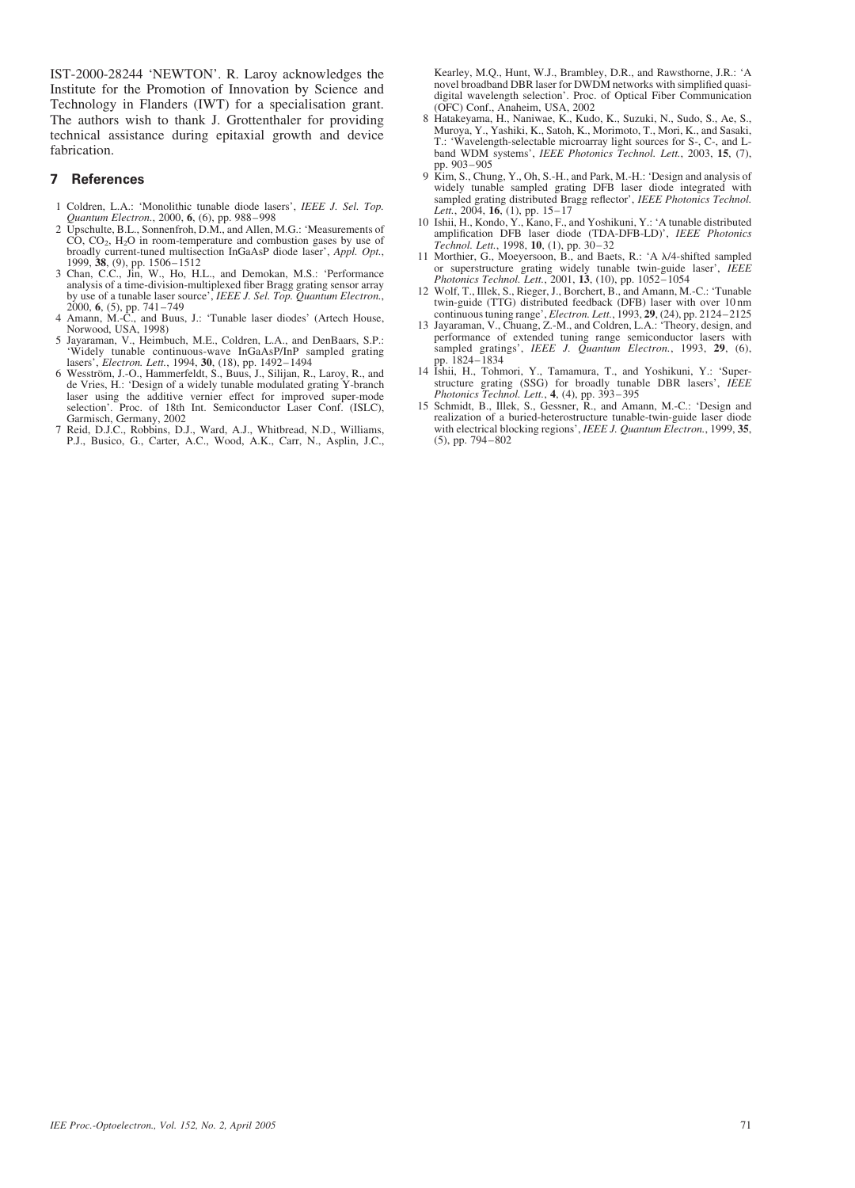IST-2000-28244 'NEWTON'. R. Laroy acknowledges the Institute for the Promotion of Innovation by Science and Technology in Flanders (IWT) for a specialisation grant. The authors wish to thank J. Grottenthaler for providing technical assistance during epitaxial growth and device fabrication.

#### 7 References

- 1 Coldren, L.A.: 'Monolithic tunable diode lasers', IEEE J. Sel. Top. Quantum Electron., 2000, 6, (6), pp. 988–998 2 Upschulte, B.L., Sonnenfroh, D.M., and Allen, M.G.: 'Measurements of
- $CO$ ,  $CO<sub>2</sub>$ ,  $H<sub>2</sub>O$  in room-temperature and combustion gases by use of broadly current-tuned multisection InGaAsP diode laser', *Appl. Opt.*, 1999, **38**, (9), pp. 1506–1512<br>3 Chan, C.C., Jin, W., Ho, H.L., and Demokan, M.S.: 'Performance analysis of a time-division-multiplexed fiber Bragg gra
- 
- by use of a tunable laser source', *IEEE J. Sel. Top. Quantum Electron.*, 2000, **6**, (5), pp. 741–749<br>4 Amann, M.-C., and Buus, J.: 'Tunable laser diodes' (Artech House, Norwood, USA, 1998)
- 5 Jayaraman, V., Heimbuch, M.E., Coldren, L.A., and DenBaars, S.P.: 'Widely tunable continuous-wave InGaAsP/InP sampled grating
- lasers', *Electron. Lett.*, 1994, **30**, (18), pp. 1492–1494<br>6 Wesström, J.-O., Hammerfeldt, S., Buus, J., Silijan, R., Laroy, R., and<br>de Vries, H.: 'Design of a widely tunable modulated grating Y-branch laser using the additive vernier effect for improved super-mode selection'. Proc. of 18th Int. Semiconductor Laser Conf. (ISLC), Garmisch, Germany, 2002
- 7 Reid, D.J.C., Robbins, D.J., Ward, A.J., Whitbread, N.D., Williams, P.J., Busico, G., Carter, A.C., Wood, A.K., Carr, N., Asplin, J.C.,

Kearley, M.Q., Hunt, W.J., Brambley, D.R., and Rawsthorne, J.R.: 'A novel broadband DBR laser for DWDM networks with simplified quasidigital wavelength selection'. Proc. of Optical Fiber Communication (OFC) Conf., Anaheim, USA, 2002

- 8 Hatakeyama, H., Naniwae, K., Kudo, K., Suzuki, N., Sudo, S., Ae, S., Muroya, Y., Yashiki, K., Satoh, K., Morimoto, T., Mori, K., and Sasaki, T.: 'Wavelength-selectable microarray light sources for S-, C-, and Lband WDM systems', IEEE Photonics Technol. Lett., 2003, 15, (7), pp. 903–905
- 9 Kim, S., Chung, Y., Oh, S.-H., and Park, M.-H.: 'Design and analysis of widely tunable sampled grating DFB laser diode integrated with sampled grating distributed Bragg reflector', IEEE Photonics Technol. Lett., 2004,  $16$ , (1), pp.  $15-17$
- 10 Ishii, H., Kondo, Y., Kano, F., and Yoshikuni, Y.: 'A tunable distributed amplification DFB laser diode (TDA-DFB-LD)', IEEE Photonics Technol. Lett., 1998, 10, (1), pp. 30–32
- 11 Morthier, G., Moeyersoon, B., and Baets, R.: 'A  $\lambda$ /4-shifted sampled or superstructure grating widely tunable twin-guide laser', IEEE Photonics Technol. Lett., 2001, 13, (10), pp. 1052-1054
- 12 Wolf, T., Illek, S., Rieger, J., Borchert, B., and Amann, M.-C.: 'Tunable twin-guide (TTG) distributed feedback (DFB) laser with over 10 nm continuous tuning range', Electron. Lett., 1993, 29, (24), pp. 2124-2125
- 13 Jayaraman, V., Chuang, Z.-M., and Coldren, L.A.: 'Theory, design, and performance of extended tuning range semiconductor lasers with sampled gratings', IEEE J. Quantum Electron., 1993, 29, (6), pp. 1824–1834
- 14 Ishii, H., Tohmori, Y., Tamamura, T., and Yoshikuni, Y.: 'Superstructure grating (SSG) for broadly tunable DBR lasers', IEEE Photonics Technol. Lett., 4, (4), pp. 393–395
- 15 Schmidt, B., Illek, S., Gessner, R., and Amann, M.-C.: 'Design and realization of a buried-heterostructure tunable-twin-guide laser diode with electrical blocking regions', IEEE J. Quantum Electron., 1999, 35, (5), pp. 794–802